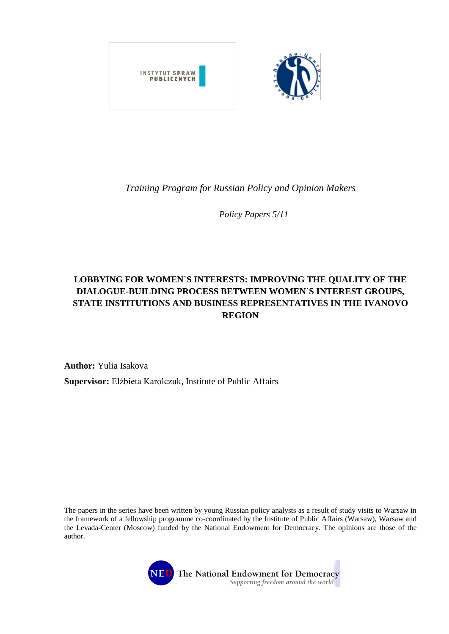

*Training Program for Russian Policy and Opinion Makers* 

*Policy Papers 5/11*

# **LOBBYING FOR WOMEN`S INTERESTS: IMPROVING THE QUALITY OF THE DIALOGUE-BUILDING PROCESS BETWEEN WOMEN`S INTEREST GROUPS, STATE INSTITUTIONS AND BUSINESS REPRESENTATIVES IN THE IVANOVO REGION**

**Author:** Yulia Isakova **Supervisor:** Elżbieta Karolczuk, Institute of Public Affairs

The papers in the series have been written by young Russian policy analysts as a result of study visits to Warsaw in the framework of a fellowship programme co-coordinated by the Institute of Public Affairs (Warsaw), Warsaw and the Levada-Center (Moscow) funded by the National Endowment for Democracy. The opinions are those of the author.

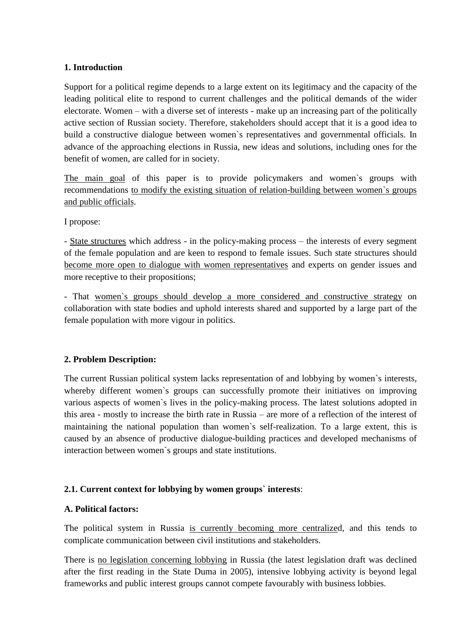# **1. Introduction**

Support for a political regime depends to a large extent on its legitimacy and the capacity of the leading political elite to respond to current challenges and the political demands of the wider electorate. Women – with a diverse set of interests - make up an increasing part of the politically active section of Russian society. Therefore, stakeholders should accept that it is a good idea to build a constructive dialogue between women`s representatives and governmental officials. In advance of the approaching elections in Russia, new ideas and solutions, including ones for the benefit of women, are called for in society.

The main goal of this paper is to provide policymakers and women`s groups with recommendations to modify the existing situation of relation-building between women`s groups and public officials.

I propose:

- State structures which address - in the policy-making process – the interests of every segment of the female population and are keen to respond to female issues. Such state structures should become more open to dialogue with women representatives and experts on gender issues and more receptive to their propositions;

- That women`s groups should develop a more considered and constructive strategy on collaboration with state bodies and uphold interests shared and supported by a large part of the female population with more vigour in politics.

# **2. Problem Description:**

The current Russian political system lacks representation of and lobbying by women`s interests, whereby different women's groups can successfully promote their initiatives on improving various aspects of women`s lives in the policy-making process. The latest solutions adopted in this area - mostly to increase the birth rate in Russia – are more of a reflection of the interest of maintaining the national population than women`s self-realization. To a large extent, this is caused by an absence of productive dialogue-building practices and developed mechanisms of interaction between women`s groups and state institutions.

# **2.1. Current context for lobbying by women groups` interests**:

# **A. Political factors:**

The political system in Russia is currently becoming more centralized, and this tends to complicate communication between civil institutions and stakeholders.

There is no legislation concerning lobbying in Russia (the latest legislation draft was declined after the first reading in the State Duma in 2005), intensive lobbying activity is beyond legal frameworks and public interest groups cannot compete favourably with business lobbies.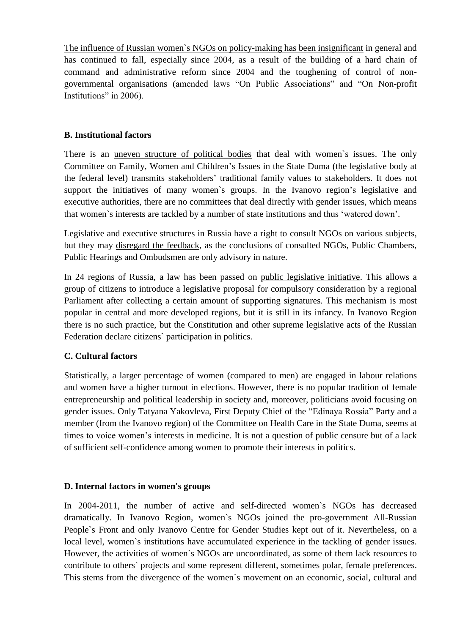The influence of Russian women`s NGOs on policy-making has been insignificant in general and has continued to fall, especially since 2004, as a result of the building of a hard chain of command and administrative reform since 2004 and the toughening of control of nongovernmental organisations (amended laws "On Public Associations" and "On Non-profit Institutions" in 2006).

# **B. Institutional factors**

There is an uneven structure of political bodies that deal with women`s issues. The only Committee on Family, Women and Children's Issues in the State Duma (the legislative body at the federal level) transmits stakeholders' traditional family values to stakeholders. It does not support the initiatives of many women`s groups. In the Ivanovo region's legislative and executive authorities, there are no committees that deal directly with gender issues, which means that women`s interests are tackled by a number of state institutions and thus 'watered down'.

Legislative and executive structures in Russia have a right to consult NGOs on various subjects, but they may disregard the feedback, as the conclusions of consulted NGOs, Public Chambers, Public Hearings and Ombudsmen are only advisory in nature.

In 24 regions of Russia, a law has been passed on public legislative initiative. This allows a group of citizens to introduce a legislative proposal for compulsory consideration by a regional Parliament after collecting a certain amount of supporting signatures. This mechanism is most popular in central and more developed regions, but it is still in its infancy. In Ivanovo Region there is no such practice, but the Constitution and other supreme legislative acts of the Russian Federation declare citizens` participation in politics.

# **C. Cultural factors**

Statistically, a larger percentage of women (compared to men) are engaged in labour relations and women have a higher turnout in elections. However, there is no popular tradition of female entrepreneurship and political leadership in society and, moreover, politicians avoid focusing on gender issues. Only Tatyana Yakovleva, First Deputy Chief of the "Edinaya Rossia" Party and a member (from the Ivanovo region) of the Committee on Health Care in the State Duma, seems at times to voice women's interests in medicine. It is not a question of public censure but of a lack of sufficient self-confidence among women to promote their interests in politics.

# **D. Internal factors in women's groups**

In 2004-2011, the number of active and self-directed women`s NGOs has decreased dramatically. In Ivanovo Region, women`s NGOs joined the pro-government All-Russian People`s Front and only Ivanovo Centre for Gender Studies kept out of it. Nevertheless, on a local level, women`s institutions have accumulated experience in the tackling of gender issues. However, the activities of women`s NGOs are uncoordinated, as some of them lack resources to contribute to others` projects and some represent different, sometimes polar, female preferences. This stems from the divergence of the women`s movement on an economic, social, cultural and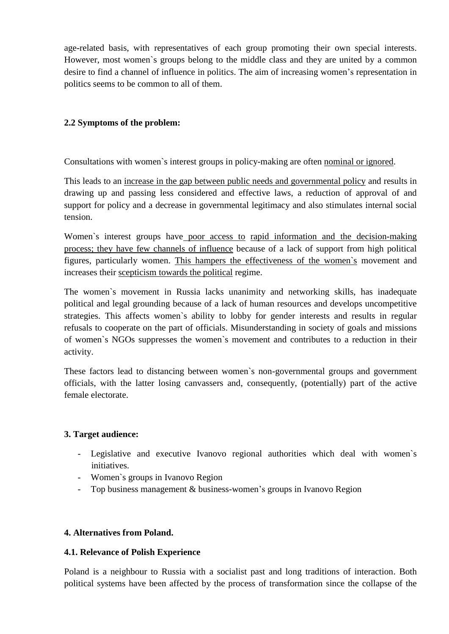age-related basis, with representatives of each group promoting their own special interests. However, most women`s groups belong to the middle class and they are united by a common desire to find a channel of influence in politics. The aim of increasing women's representation in politics seems to be common to all of them.

# **2.2 Symptoms of the problem:**

Consultations with women`s interest groups in policy-making are often nominal or ignored.

This leads to an increase in the gap between public needs and governmental policy and results in drawing up and passing less considered and effective laws, a reduction of approval of and support for policy and a decrease in governmental legitimacy and also stimulates internal social tension.

Women`s interest groups have poor access to rapid information and the decision-making process; they have few channels of influence because of a lack of support from high political figures, particularly women. This hampers the effectiveness of the women`s movement and increases their scepticism towards the political regime.

The women`s movement in Russia lacks unanimity and networking skills, has inadequate political and legal grounding because of a lack of human resources and develops uncompetitive strategies. This affects women`s ability to lobby for gender interests and results in regular refusals to cooperate on the part of officials. Misunderstanding in society of goals and missions of women`s NGOs suppresses the women`s movement and contributes to a reduction in their activity.

These factors lead to distancing between women`s non-governmental groups and government officials, with the latter losing canvassers and, consequently, (potentially) part of the active female electorate.

# **3. Target audience:**

- Legislative and executive Ivanovo regional authorities which deal with women`s initiatives.
- Women`s groups in Ivanovo Region
- Top business management & business-women's groups in Ivanovo Region

# **4. Alternatives from Poland.**

# **4.1. Relevance of Polish Experience**

Poland is a neighbour to Russia with a socialist past and long traditions of interaction. Both political systems have been affected by the process of transformation since the collapse of the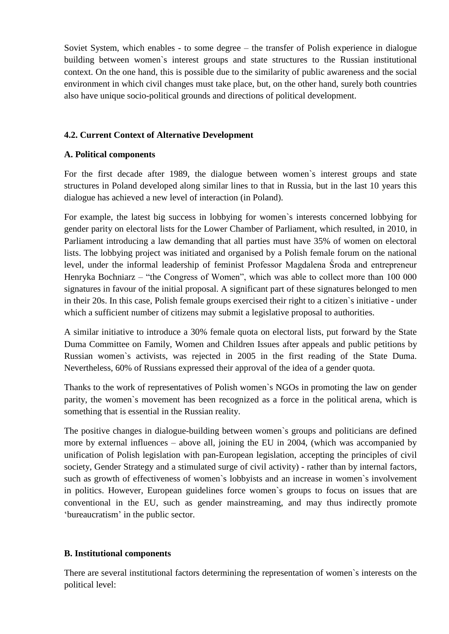Soviet System, which enables - to some degree – the transfer of Polish experience in dialogue building between women`s interest groups and state structures to the Russian institutional context. On the one hand, this is possible due to the similarity of public awareness and the social environment in which civil changes must take place, but, on the other hand, surely both countries also have unique socio-political grounds and directions of political development.

# **4.2. Current Context of Alternative Development**

# **A. Political components**

For the first decade after 1989, the dialogue between women`s interest groups and state structures in Poland developed along similar lines to that in Russia, but in the last 10 years this dialogue has achieved a new level of interaction (in Poland).

For example, the latest big success in lobbying for women`s interests concerned lobbying for gender parity on electoral lists for the Lower Chamber of Parliament, which resulted, in 2010, in Parliament introducing a law demanding that all parties must have 35% of women on electoral lists. The lobbying project was initiated and organised by a Polish female forum on the national level, under the informal leadership of feminist Professor Magdalena Środa and entrepreneur Henryka Bochniarz – "the Congress of Women", which was able to collect more than 100 000 signatures in favour of the initial proposal. A significant part of these signatures belonged to men in their 20s. In this case, Polish female groups exercised their right to a citizen`s initiative - under which a sufficient number of citizens may submit a legislative proposal to authorities.

A similar initiative to introduce a 30% female quota on electoral lists, put forward by the State Duma Committee on Family, Women and Children Issues after appeals and public petitions by Russian women`s activists, was rejected in 2005 in the first reading of the State Duma. Nevertheless, 60% of Russians expressed their approval of the idea of a gender quota.

Thanks to the work of representatives of Polish women`s NGOs in promoting the law on gender parity, the women`s movement has been recognized as a force in the political arena*,* which is something that is essential in the Russian reality.

The positive changes in dialogue-building between women`s groups and politicians are defined more by external influences – above all, joining the EU in 2004, (which was accompanied by unification of Polish legislation with pan-European legislation, accepting the principles of civil society, Gender Strategy and a stimulated surge of civil activity) - rather than by internal factors, such as growth of effectiveness of women`s lobbyists and an increase in women`s involvement in politics. However, European guidelines force women`s groups to focus on issues that are conventional in the EU, such as gender mainstreaming, and may thus indirectly promote 'bureaucratism' in the public sector.

#### **B. Institutional components**

There are several institutional factors determining the representation of women`s interests on the political level: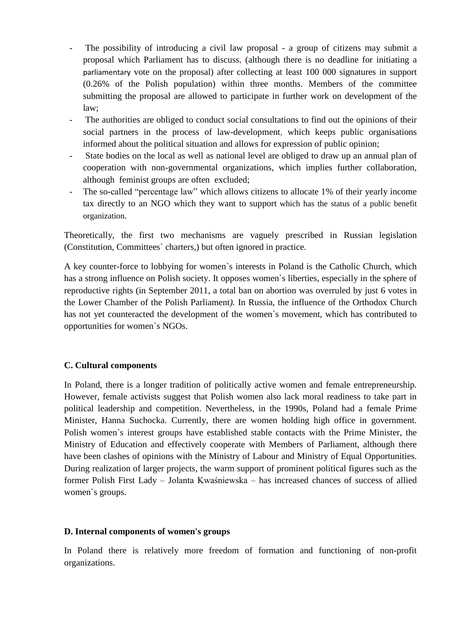- The possibility of introducing a civil law proposal a group of citizens may submit a proposal which Parliament has to discuss, (although there is no deadline for initiating a parliamentary vote on the proposal) after collecting at least 100 000 signatures in support (0.26% of the Polish population) within three months. Members of the committee submitting the proposal are allowed to participate in further work on development of the law;
- The authorities are obliged to conduct social consultations to find out the opinions of their social partners in the process of law-development, which keeps public organisations informed about the political situation and allows for expression of public opinion;
- State bodies on the local as well as national level are obliged to draw up an annual plan of cooperation with non-governmental organizations, which implies further collaboration, although feminist groups are often excluded;
- The so-called "percentage law" which allows citizens to allocate 1% of their yearly income tax directly to an NGO which they want to support which has the status of a public benefit organization.

Theoretically, the first two mechanisms are vaguely prescribed in Russian legislation (Constitution, Committees` charters,) but often ignored in practice.

A key counter-force to lobbying for women`s interests in Poland is the Catholic Church, which has a strong influence on Polish society. It opposes women`s liberties, especially in the sphere of reproductive rights (in September 2011, a total ban on abortion was overruled by just 6 votes in the Lower Chamber of the Polish Parliament*).* In Russia, the influence of the Orthodox Church has not yet counteracted the development of the women`s movement, which has contributed to opportunities for women`s NGOs.

# **C. Cultural components**

In Poland, there is a longer tradition of politically active women and female entrepreneurship. However, female activists suggest that Polish women also lack moral readiness to take part in political leadership and competition. Nevertheless, in the 1990s, Poland had a female Prime Minister, Hanna Suchocka. Currently, there are women holding high office in government. Polish women`s interest groups have established stable contacts with the Prime Minister, the Ministry of Education and effectively cooperate with Members of Parliament, although there have been clashes of opinions with the Ministry of Labour and Ministry of Equal Opportunities. During realization of larger projects, the warm support of prominent political figures such as the former Polish First Lady – Jolanta Kwaśniewska – has increased chances of success of allied women`s groups.

# **D. Internal components of women's groups**

In Poland there is relatively more freedom of formation and functioning of non-profit organizations.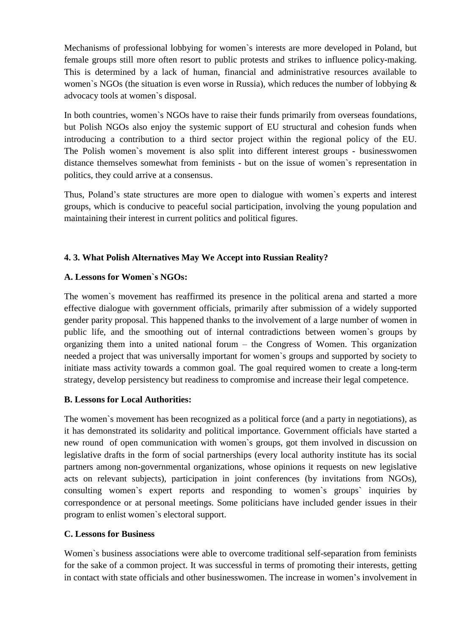Mechanisms of professional lobbying for women`s interests are more developed in Poland, but female groups still more often resort to public protests and strikes to influence policy-making. This is determined by a lack of human, financial and administrative resources available to women`s NGOs (the situation is even worse in Russia), which reduces the number of lobbying & advocacy tools at women`s disposal.

In both countries, women`s NGOs have to raise their funds primarily from overseas foundations, but Polish NGOs also enjoy the systemic support of EU structural and cohesion funds when introducing a contribution to a third sector project within the regional policy of the EU. The Polish women`s movement is also split into different interest groups - businesswomen distance themselves somewhat from feminists - but on the issue of women`s representation in politics, they could arrive at a consensus.

Thus, Poland's state structures are more open to dialogue with women`s experts and interest groups, which is conducive to peaceful social participation, involving the young population and maintaining their interest in current politics and political figures.

# **4. 3. What Polish Alternatives May We Accept into Russian Reality?**

# **A. Lessons for Women`s NGOs:**

The women`s movement has reaffirmed its presence in the political arena and started a more effective dialogue with government officials, primarily after submission of a widely supported gender parity proposal. This happened thanks to the involvement of a large number of women in public life, and the smoothing out of internal contradictions between women`s groups by organizing them into a united national forum – the Congress of Women. This organization needed a project that was universally important for women`s groups and supported by society to initiate mass activity towards a common goal. The goal required women to create a long-term strategy, develop persistency but readiness to compromise and increase their legal competence.

# **B. Lessons for Local Authorities:**

The women`s movement has been recognized as a political force (and a party in negotiations), as it has demonstrated its solidarity and political importance. Government officials have started a new round of open communication with women`s groups, got them involved in discussion on legislative drafts in the form of social partnerships (every local authority institute has its social partners among non-governmental organizations, whose opinions it requests on new legislative acts on relevant subjects), participation in joint conferences (by invitations from NGOs), consulting women`s expert reports and responding to women`s groups` inquiries by correspondence or at personal meetings. Some politicians have included gender issues in their program to enlist women`s electoral support.

# **C. Lessons for Business**

Women`s business associations were able to overcome traditional self-separation from feminists for the sake of a common project. It was successful in terms of promoting their interests, getting in contact with state officials and other businesswomen. The increase in women's involvement in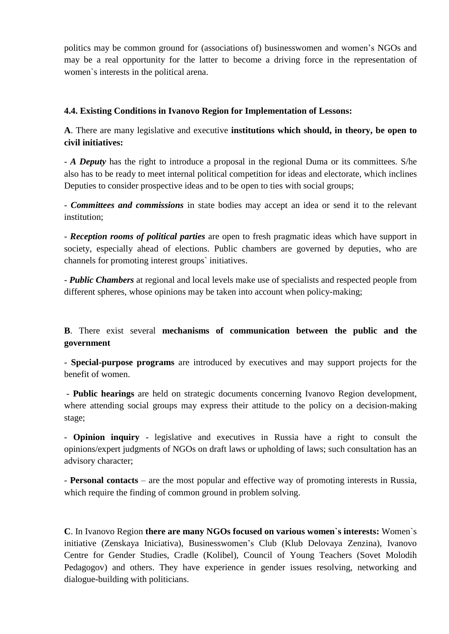politics may be common ground for (associations of) businesswomen and women's NGOs and may be a real opportunity for the latter to become a driving force in the representation of women`s interests in the political arena.

# **4.4. Existing Conditions in Ivanovo Region for Implementation of Lessons:**

**A**. There are many legislative and executive **institutions which should, in theory, be open to civil initiatives:**

- *A Deputy* has the right to introduce a proposal in the regional Duma or its committees. S/he also has to be ready to meet internal political competition for ideas and electorate, which inclines Deputies to consider prospective ideas and to be open to ties with social groups;

- *Committees and commissions* in state bodies may accept an idea or send it to the relevant institution;

- *Reception rooms of political parties* are open to fresh pragmatic ideas which have support in society, especially ahead of elections. Public chambers are governed by deputies, who are channels for promoting interest groups` initiatives.

- *Public Chambers* at regional and local levels make use of specialists and respected people from different spheres, whose opinions may be taken into account when policy-making;

**B**. There exist several **mechanisms of communication between the public and the government**

- **Special-purpose programs** are introduced by executives and may support projects for the benefit of women.

- **Public hearings** are held on strategic documents concerning Ivanovo Region development, where attending social groups may express their attitude to the policy on a decision-making stage;

- **Opinion inquiry** - legislative and executives in Russia have a right to consult the opinions/expert judgments of NGOs on draft laws or upholding of laws; such consultation has an advisory character;

- **Personal contacts** – are the most popular and effective way of promoting interests in Russia, which require the finding of common ground in problem solving.

**C**. In Ivanovo Region **there are many NGOs focused on various women`s interests:** Women`s initiative (Zenskaya Iniciativa), Businesswomen's Club (Klub Delovaya Zenzina), Ivanovo Centre for Gender Studies, Cradle (Kolibel), Council of Young Teachers (Sovet Molodih Pedagogov) and others. They have experience in gender issues resolving, networking and dialogue-building with politicians.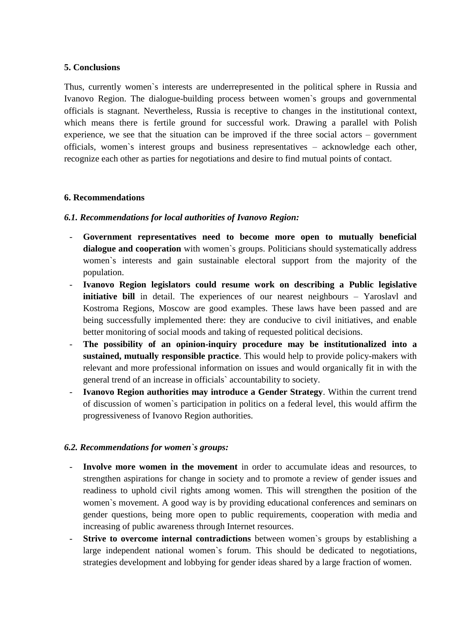### **5. Conclusions**

Thus, currently women`s interests are underrepresented in the political sphere in Russia and Ivanovo Region. The dialogue-building process between women`s groups and governmental officials is stagnant. Nevertheless, Russia is receptive to changes in the institutional context, which means there is fertile ground for successful work. Drawing a parallel with Polish experience, we see that the situation can be improved if the three social actors – government officials, women`s interest groups and business representatives – acknowledge each other, recognize each other as parties for negotiations and desire to find mutual points of contact.

### **6. Recommendations**

### *6.1. Recommendations for local authorities of Ivanovo Region:*

- **Government representatives need to become more open to mutually beneficial dialogue and cooperation** with women`s groups. Politicians should systematically address women`s interests and gain sustainable electoral support from the majority of the population.
- **Ivanovo Region legislators could resume work on describing a Public legislative initiative bill** in detail. The experiences of our nearest neighbours – Yaroslavl and Kostroma Regions, Moscow are good examples. These laws have been passed and are being successfully implemented there: they are conducive to civil initiatives, and enable better monitoring of social moods and taking of requested political decisions.
- **The possibility of an opinion-inquiry procedure may be institutionalized into a sustained, mutually responsible practice**. This would help to provide policy-makers with relevant and more professional information on issues and would organically fit in with the general trend of an increase in officials` accountability to society.
- **Ivanovo Region authorities may introduce a Gender Strategy**. Within the current trend of discussion of women`s participation in politics on a federal level, this would affirm the progressiveness of Ivanovo Region authorities.

#### *6.2. Recommendations for women`s groups:*

- **Involve more women in the movement** in order to accumulate ideas and resources, to strengthen aspirations for change in society and to promote a review of gender issues and readiness to uphold civil rights among women. This will strengthen the position of the women`s movement. A good way is by providing educational conferences and seminars on gender questions, being more open to public requirements, cooperation with media and increasing of public awareness through Internet resources.
- **Strive to overcome internal contradictions** between women`s groups by establishing a large independent national women`s forum. This should be dedicated to negotiations, strategies development and lobbying for gender ideas shared by a large fraction of women.